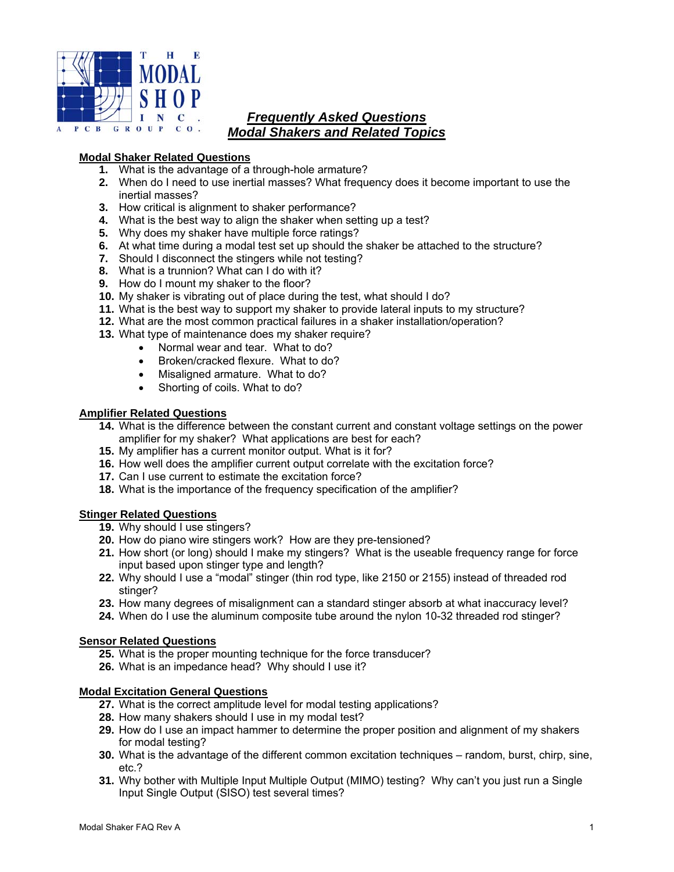

# *Frequently Asked Questions Modal Shakers and Related Topics*

## **Modal Shaker Related Questions**

- **1.** What is the advantage of a through-hole armature?
- **2.** When do I need to use inertial masses? What frequency does it become important to use the inertial masses?
- **3.** How critical is alignment to shaker performance?
- **4.** What is the best way to align the shaker when setting up a test?
- **5.** Why does my shaker have multiple force ratings?
- **6.** At what time during a modal test set up should the shaker be attached to the structure?
- **7.** Should I disconnect the stingers while not testing?
- **8.** What is a trunnion? What can I do with it?
- **9.** How do I mount my shaker to the floor?
- **10.** My shaker is vibrating out of place during the test, what should I do?
- **11.** What is the best way to support my shaker to provide lateral inputs to my structure?
- **12.** What are the most common practical failures in a shaker installation/operation?
- **13.** What type of maintenance does my shaker require?
	- Normal wear and tear. What to do?
	- Broken/cracked flexure. What to do?
	- Misaligned armature. What to do?
	- Shorting of coils. What to do?

#### **Amplifier Related Questions**

- **14.** What is the difference between the constant current and constant voltage settings on the power amplifier for my shaker? What applications are best for each?
- **15.** My amplifier has a current monitor output. What is it for?
- **16.** How well does the amplifier current output correlate with the excitation force?
- **17.** Can I use current to estimate the excitation force?
- **18.** What is the importance of the frequency specification of the amplifier?

## **Stinger Related Questions**

- **19.** Why should I use stingers?
- **20.** How do piano wire stingers work? How are they pre-tensioned?
- **21.** How short (or long) should I make my stingers? What is the useable frequency range for force input based upon stinger type and length?
- **22.** Why should I use a "modal" stinger (thin rod type, like 2150 or 2155) instead of threaded rod stinger?
- **23.** How many degrees of misalignment can a standard stinger absorb at what inaccuracy level?
- **24.** When do I use the aluminum composite tube around the nylon 10-32 threaded rod stinger?

## **Sensor Related Questions**

- **25.** What is the proper mounting technique for the force transducer?
- **26.** What is an impedance head? Why should I use it?

#### **Modal Excitation General Questions**

- **27.** What is the correct amplitude level for modal testing applications?
- **28.** How many shakers should I use in my modal test?
- **29.** How do I use an impact hammer to determine the proper position and alignment of my shakers for modal testing?
- **30.** What is the advantage of the different common excitation techniques random, burst, chirp, sine, etc.?
- **31.** Why bother with Multiple Input Multiple Output (MIMO) testing? Why can't you just run a Single Input Single Output (SISO) test several times?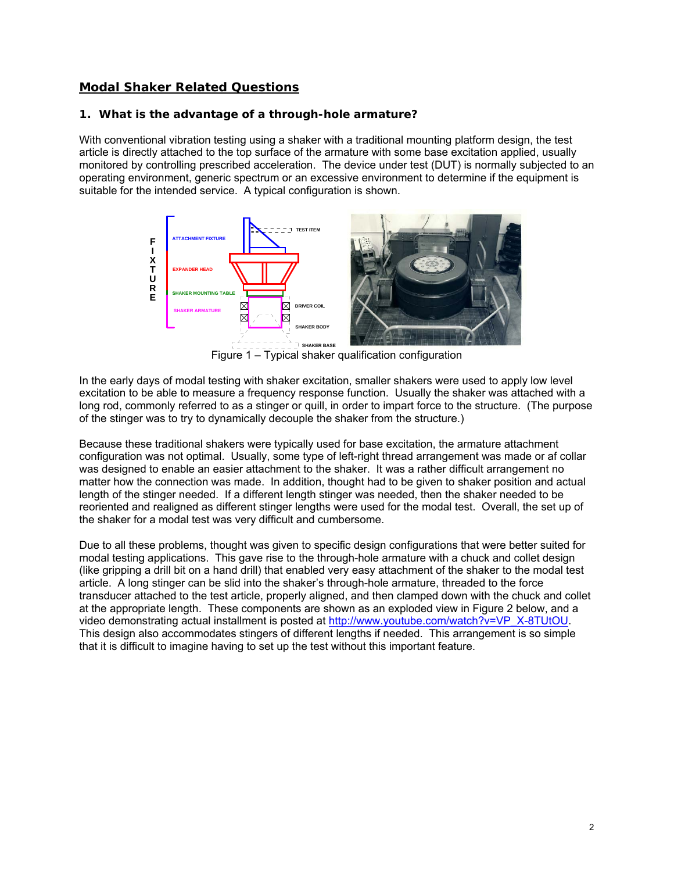# **Modal Shaker Related Questions**

#### **1. What is the advantage of a through-hole armature?**

With conventional vibration testing using a shaker with a traditional mounting platform design, the test article is directly attached to the top surface of the armature with some base excitation applied, usually monitored by controlling prescribed acceleration. The device under test (DUT) is normally subjected to an operating environment, generic spectrum or an excessive environment to determine if the equipment is suitable for the intended service. A typical configuration is shown.



Figure 1 – Typical shaker qualification configuration

In the early days of modal testing with shaker excitation, smaller shakers were used to apply low level excitation to be able to measure a frequency response function. Usually the shaker was attached with a long rod, commonly referred to as a stinger or quill, in order to impart force to the structure. (The purpose of the stinger was to try to dynamically decouple the shaker from the structure.)

Because these traditional shakers were typically used for base excitation, the armature attachment configuration was not optimal. Usually, some type of left-right thread arrangement was made or af collar was designed to enable an easier attachment to the shaker. It was a rather difficult arrangement no matter how the connection was made. In addition, thought had to be given to shaker position and actual length of the stinger needed. If a different length stinger was needed, then the shaker needed to be reoriented and realigned as different stinger lengths were used for the modal test. Overall, the set up of the shaker for a modal test was very difficult and cumbersome.

Due to all these problems, thought was given to specific design configurations that were better suited for modal testing applications. This gave rise to the through-hole armature with a chuck and collet design (like gripping a drill bit on a hand drill) that enabled very easy attachment of the shaker to the modal test article. A long stinger can be slid into the shaker's through-hole armature, threaded to the force transducer attached to the test article, properly aligned, and then clamped down with the chuck and collet at the appropriate length. These components are shown as an exploded view in Figure 2 below, and a video demonstrating actual installment is posted at http://www.youtube.com/watch?v=VP\_X-8TUtOU. This design also accommodates stingers of different lengths if needed. This arrangement is so simple that it is difficult to imagine having to set up the test without this important feature.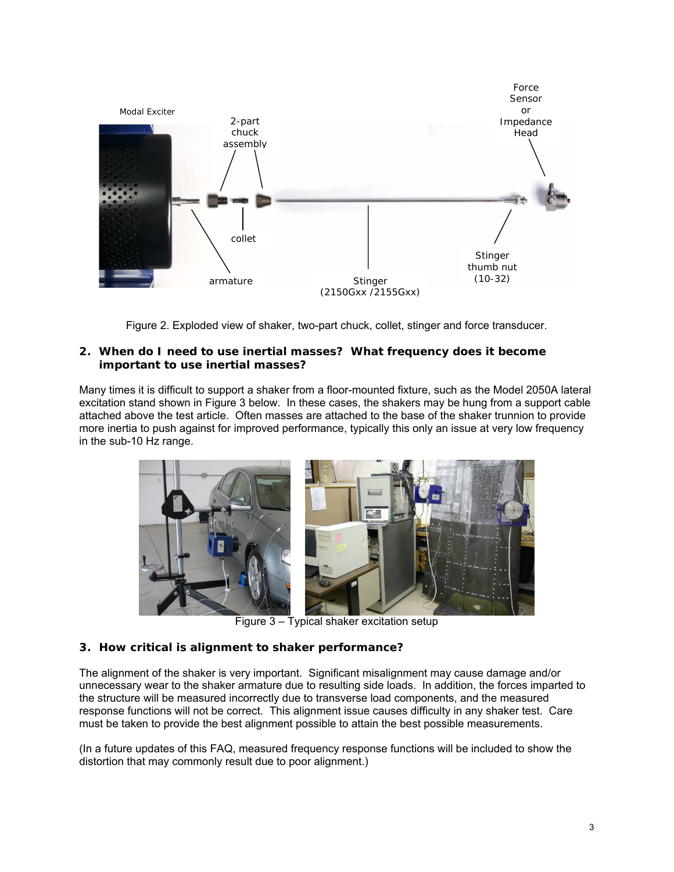

Figure 2. Exploded view of shaker, two-part chuck, collet, stinger and force transducer.

#### **2. When do I need to use inertial masses? What frequency does it become important to use inertial masses?**

Many times it is difficult to support a shaker from a floor-mounted fixture, such as the Model 2050A lateral excitation stand shown in Figure 3 below. In these cases, the shakers may be hung from a support cable attached above the test article. Often masses are attached to the base of the shaker trunnion to provide more inertia to push against for improved performance, typically this only an issue at very low frequency in the sub-10 Hz range.



Figure 3 – Typical shaker excitation setup

# **3. How critical is alignment to shaker performance?**

The alignment of the shaker is very important. Significant misalignment may cause damage and/or unnecessary wear to the shaker armature due to resulting side loads. In addition, the forces imparted to the structure will be measured incorrectly due to transverse load components, and the measured response functions will not be correct. This alignment issue causes difficulty in any shaker test. Care must be taken to provide the best alignment possible to attain the best possible measurements.

(In a future updates of this FAQ, measured frequency response functions will be included to show the distortion that may commonly result due to poor alignment.)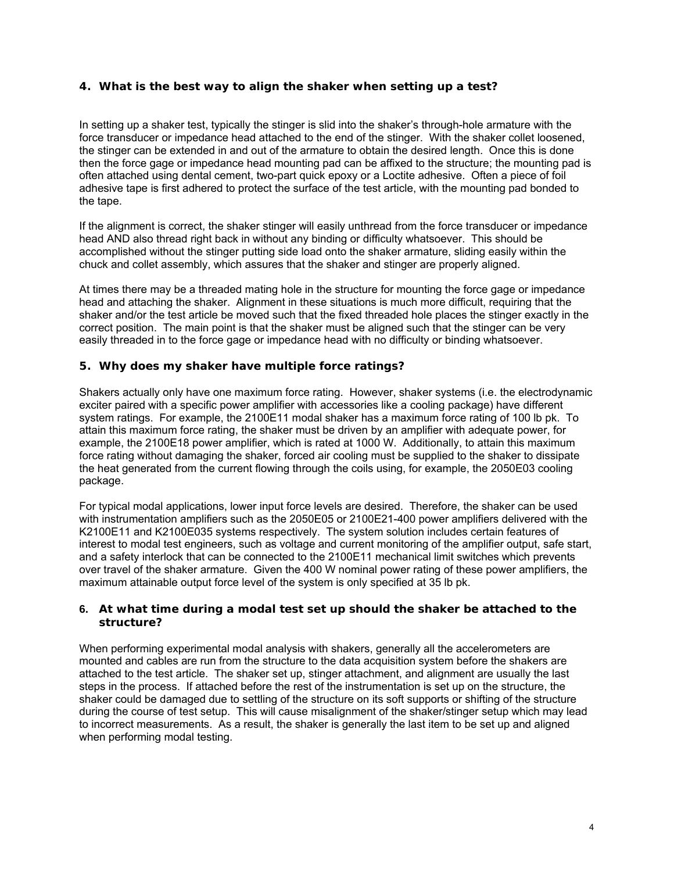## **4. What is the best way to align the shaker when setting up a test?**

In setting up a shaker test, typically the stinger is slid into the shaker's through-hole armature with the force transducer or impedance head attached to the end of the stinger. With the shaker collet loosened, the stinger can be extended in and out of the armature to obtain the desired length. Once this is done then the force gage or impedance head mounting pad can be affixed to the structure; the mounting pad is often attached using dental cement, two-part quick epoxy or a Loctite adhesive. Often a piece of foil adhesive tape is first adhered to protect the surface of the test article, with the mounting pad bonded to the tape.

If the alignment is correct, the shaker stinger will easily unthread from the force transducer or impedance head AND also thread right back in without any binding or difficulty whatsoever. This should be accomplished without the stinger putting side load onto the shaker armature, sliding easily within the chuck and collet assembly, which assures that the shaker and stinger are properly aligned.

At times there may be a threaded mating hole in the structure for mounting the force gage or impedance head and attaching the shaker. Alignment in these situations is much more difficult, requiring that the shaker and/or the test article be moved such that the fixed threaded hole places the stinger exactly in the correct position. The main point is that the shaker must be aligned such that the stinger can be very easily threaded in to the force gage or impedance head with no difficulty or binding whatsoever.

#### **5. Why does my shaker have multiple force ratings?**

Shakers actually only have one maximum force rating. However, shaker systems (i.e. the electrodynamic exciter paired with a specific power amplifier with accessories like a cooling package) have different system ratings. For example, the 2100E11 modal shaker has a maximum force rating of 100 lb pk. To attain this maximum force rating, the shaker must be driven by an amplifier with adequate power, for example, the 2100E18 power amplifier, which is rated at 1000 W. Additionally, to attain this maximum force rating without damaging the shaker, forced air cooling must be supplied to the shaker to dissipate the heat generated from the current flowing through the coils using, for example, the 2050E03 cooling package.

For typical modal applications, lower input force levels are desired. Therefore, the shaker can be used with instrumentation amplifiers such as the 2050E05 or 2100E21-400 power amplifiers delivered with the K2100E11 and K2100E035 systems respectively. The system solution includes certain features of interest to modal test engineers, such as voltage and current monitoring of the amplifier output, safe start, and a safety interlock that can be connected to the 2100E11 mechanical limit switches which prevents over travel of the shaker armature. Given the 400 W nominal power rating of these power amplifiers, the maximum attainable output force level of the system is only specified at 35 lb pk.

#### **6. At what time during a modal test set up should the shaker be attached to the structure?**

When performing experimental modal analysis with shakers, generally all the accelerometers are mounted and cables are run from the structure to the data acquisition system before the shakers are attached to the test article. The shaker set up, stinger attachment, and alignment are usually the last steps in the process. If attached before the rest of the instrumentation is set up on the structure, the shaker could be damaged due to settling of the structure on its soft supports or shifting of the structure during the course of test setup. This will cause misalignment of the shaker/stinger setup which may lead to incorrect measurements. As a result, the shaker is generally the last item to be set up and aligned when performing modal testing.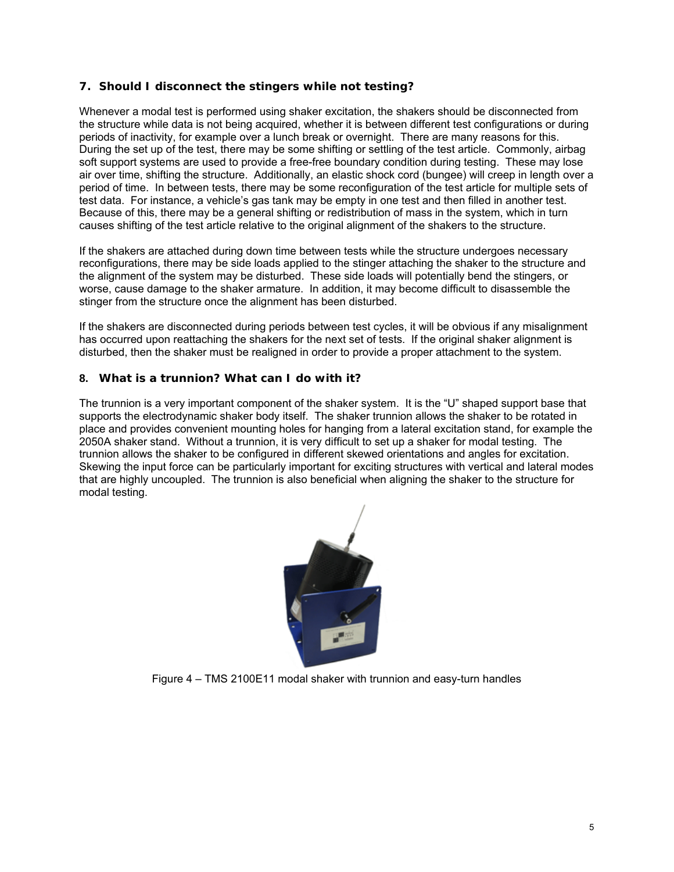## **7. Should I disconnect the stingers while not testing?**

Whenever a modal test is performed using shaker excitation, the shakers should be disconnected from the structure while data is not being acquired, whether it is between different test configurations or during periods of inactivity, for example over a lunch break or overnight. There are many reasons for this. During the set up of the test, there may be some shifting or settling of the test article. Commonly, airbag soft support systems are used to provide a free-free boundary condition during testing. These may lose air over time, shifting the structure. Additionally, an elastic shock cord (bungee) will creep in length over a period of time. In between tests, there may be some reconfiguration of the test article for multiple sets of test data. For instance, a vehicle's gas tank may be empty in one test and then filled in another test. Because of this, there may be a general shifting or redistribution of mass in the system, which in turn causes shifting of the test article relative to the original alignment of the shakers to the structure.

If the shakers are attached during down time between tests while the structure undergoes necessary reconfigurations, there may be side loads applied to the stinger attaching the shaker to the structure and the alignment of the system may be disturbed. These side loads will potentially bend the stingers, or worse, cause damage to the shaker armature. In addition, it may become difficult to disassemble the stinger from the structure once the alignment has been disturbed.

If the shakers are disconnected during periods between test cycles, it will be obvious if any misalignment has occurred upon reattaching the shakers for the next set of tests. If the original shaker alignment is disturbed, then the shaker must be realigned in order to provide a proper attachment to the system.

## **8. What is a trunnion? What can I do with it?**

The trunnion is a very important component of the shaker system. It is the "U" shaped support base that supports the electrodynamic shaker body itself. The shaker trunnion allows the shaker to be rotated in place and provides convenient mounting holes for hanging from a lateral excitation stand, for example the 2050A shaker stand. Without a trunnion, it is very difficult to set up a shaker for modal testing. The trunnion allows the shaker to be configured in different skewed orientations and angles for excitation. Skewing the input force can be particularly important for exciting structures with vertical and lateral modes that are highly uncoupled. The trunnion is also beneficial when aligning the shaker to the structure for modal testing.



Figure 4 – TMS 2100E11 modal shaker with trunnion and easy-turn handles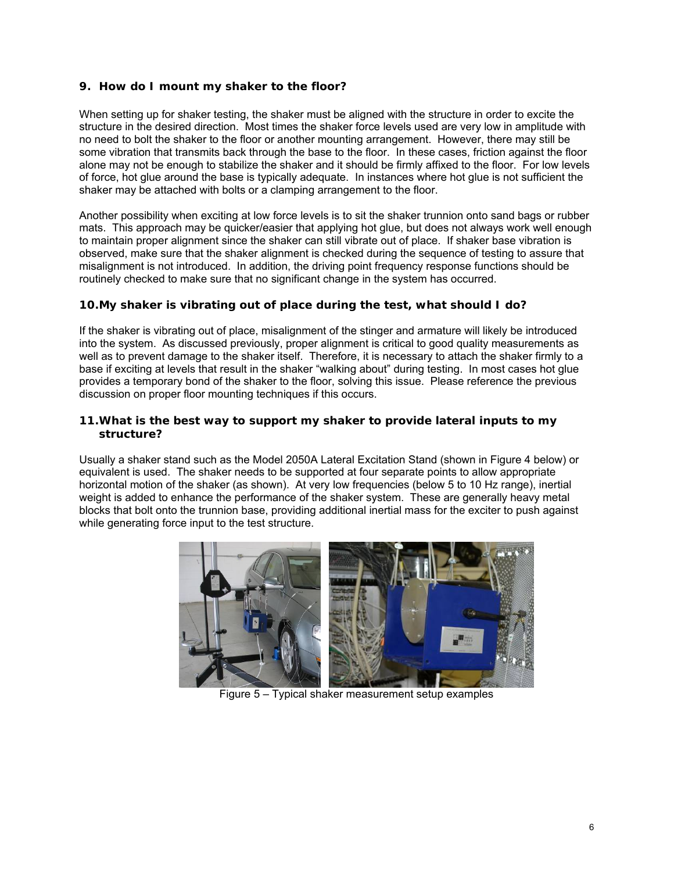## **9. How do I mount my shaker to the floor?**

When setting up for shaker testing, the shaker must be aligned with the structure in order to excite the structure in the desired direction. Most times the shaker force levels used are very low in amplitude with no need to bolt the shaker to the floor or another mounting arrangement. However, there may still be some vibration that transmits back through the base to the floor. In these cases, friction against the floor alone may not be enough to stabilize the shaker and it should be firmly affixed to the floor. For low levels of force, hot glue around the base is typically adequate. In instances where hot glue is not sufficient the shaker may be attached with bolts or a clamping arrangement to the floor.

Another possibility when exciting at low force levels is to sit the shaker trunnion onto sand bags or rubber mats. This approach may be quicker/easier that applying hot glue, but does not always work well enough to maintain proper alignment since the shaker can still vibrate out of place. If shaker base vibration is observed, make sure that the shaker alignment is checked during the sequence of testing to assure that misalignment is not introduced. In addition, the driving point frequency response functions should be routinely checked to make sure that no significant change in the system has occurred.

## **10.My shaker is vibrating out of place during the test, what should I do?**

If the shaker is vibrating out of place, misalignment of the stinger and armature will likely be introduced into the system. As discussed previously, proper alignment is critical to good quality measurements as well as to prevent damage to the shaker itself. Therefore, it is necessary to attach the shaker firmly to a base if exciting at levels that result in the shaker "walking about" during testing. In most cases hot glue provides a temporary bond of the shaker to the floor, solving this issue. Please reference the previous discussion on proper floor mounting techniques if this occurs.

## **11.What is the best way to support my shaker to provide lateral inputs to my structure?**

Usually a shaker stand such as the Model 2050A Lateral Excitation Stand (shown in Figure 4 below) or equivalent is used. The shaker needs to be supported at four separate points to allow appropriate horizontal motion of the shaker (as shown). At very low frequencies (below 5 to 10 Hz range), inertial weight is added to enhance the performance of the shaker system. These are generally heavy metal blocks that bolt onto the trunnion base, providing additional inertial mass for the exciter to push against while generating force input to the test structure.



Figure 5 – Typical shaker measurement setup examples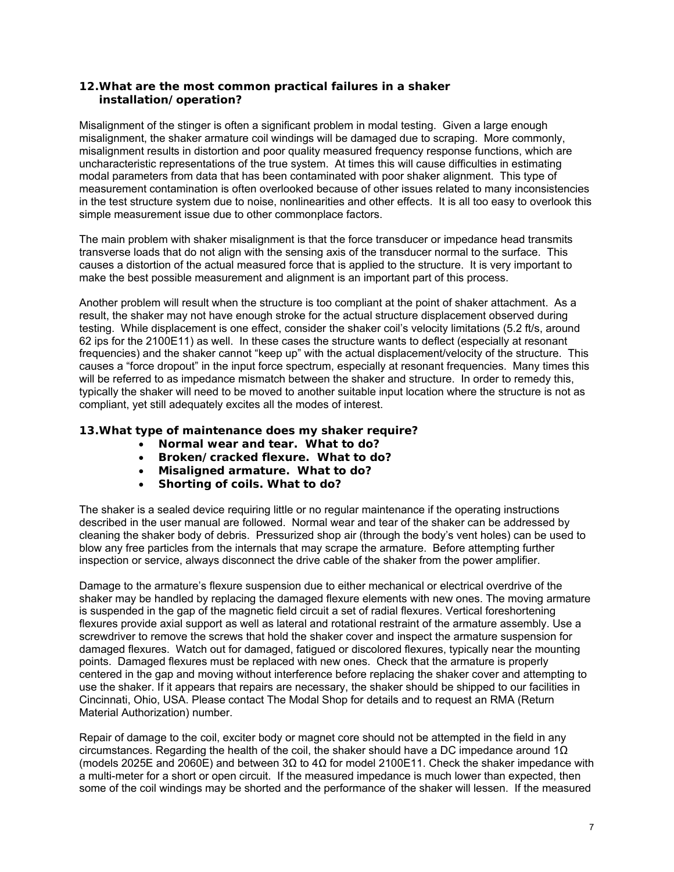## **12.What are the most common practical failures in a shaker installation/operation?**

Misalignment of the stinger is often a significant problem in modal testing. Given a large enough misalignment, the shaker armature coil windings will be damaged due to scraping. More commonly, misalignment results in distortion and poor quality measured frequency response functions, which are uncharacteristic representations of the true system. At times this will cause difficulties in estimating modal parameters from data that has been contaminated with poor shaker alignment. This type of measurement contamination is often overlooked because of other issues related to many inconsistencies in the test structure system due to noise, nonlinearities and other effects. It is all too easy to overlook this simple measurement issue due to other commonplace factors.

The main problem with shaker misalignment is that the force transducer or impedance head transmits transverse loads that do not align with the sensing axis of the transducer normal to the surface. This causes a distortion of the actual measured force that is applied to the structure. It is very important to make the best possible measurement and alignment is an important part of this process.

Another problem will result when the structure is too compliant at the point of shaker attachment. As a result, the shaker may not have enough stroke for the actual structure displacement observed during testing. While displacement is one effect, consider the shaker coil's velocity limitations (5.2 ft/s, around 62 ips for the 2100E11) as well. In these cases the structure wants to deflect (especially at resonant frequencies) and the shaker cannot "keep up" with the actual displacement/velocity of the structure. This causes a "force dropout" in the input force spectrum, especially at resonant frequencies. Many times this will be referred to as impedance mismatch between the shaker and structure. In order to remedy this, typically the shaker will need to be moved to another suitable input location where the structure is not as compliant, yet still adequately excites all the modes of interest.

## **13.What type of maintenance does my shaker require?**

- **Normal wear and tear. What to do?**
- **Broken/cracked flexure. What to do?**
- **Misaligned armature. What to do?**
- **Shorting of coils. What to do?**

The shaker is a sealed device requiring little or no regular maintenance if the operating instructions described in the user manual are followed. Normal wear and tear of the shaker can be addressed by cleaning the shaker body of debris. Pressurized shop air (through the body's vent holes) can be used to blow any free particles from the internals that may scrape the armature. Before attempting further inspection or service, always disconnect the drive cable of the shaker from the power amplifier.

Damage to the armature's flexure suspension due to either mechanical or electrical overdrive of the shaker may be handled by replacing the damaged flexure elements with new ones. The moving armature is suspended in the gap of the magnetic field circuit a set of radial flexures. Vertical foreshortening flexures provide axial support as well as lateral and rotational restraint of the armature assembly. Use a screwdriver to remove the screws that hold the shaker cover and inspect the armature suspension for damaged flexures. Watch out for damaged, fatigued or discolored flexures, typically near the mounting points. Damaged flexures must be replaced with new ones. Check that the armature is properly centered in the gap and moving without interference before replacing the shaker cover and attempting to use the shaker. If it appears that repairs are necessary, the shaker should be shipped to our facilities in Cincinnati, Ohio, USA. Please contact The Modal Shop for details and to request an RMA (Return Material Authorization) number.

Repair of damage to the coil, exciter body or magnet core should not be attempted in the field in any circumstances. Regarding the health of the coil, the shaker should have a DC impedance around 1 $\Omega$ (models 2025E and 2060E) and between 3Ω to 4Ω for model 2100E11. Check the shaker impedance with a multi-meter for a short or open circuit. If the measured impedance is much lower than expected, then some of the coil windings may be shorted and the performance of the shaker will lessen. If the measured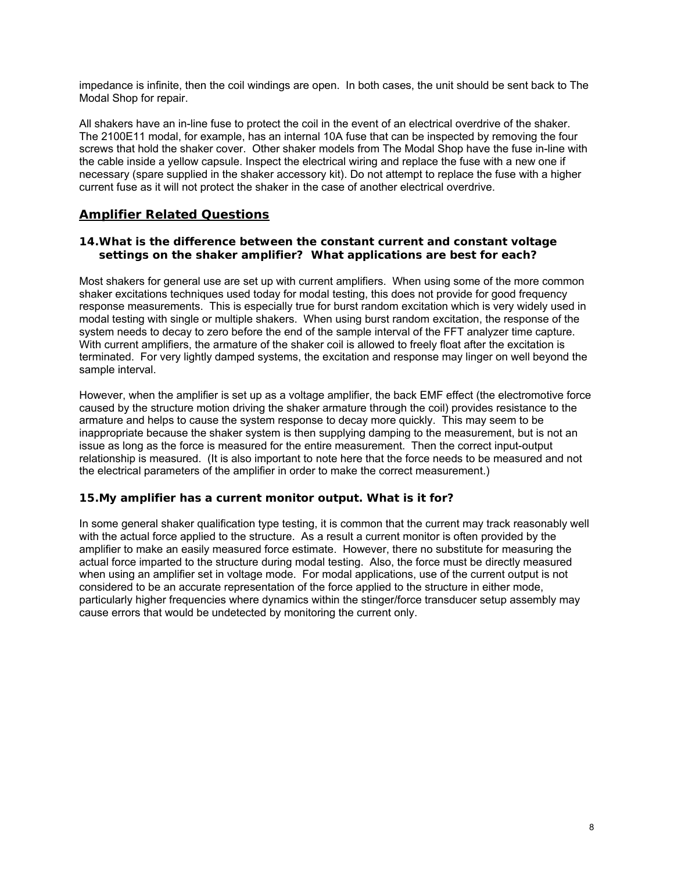impedance is infinite, then the coil windings are open. In both cases, the unit should be sent back to The Modal Shop for repair.

All shakers have an in-line fuse to protect the coil in the event of an electrical overdrive of the shaker. The 2100E11 modal, for example, has an internal 10A fuse that can be inspected by removing the four screws that hold the shaker cover. Other shaker models from The Modal Shop have the fuse in-line with the cable inside a yellow capsule. Inspect the electrical wiring and replace the fuse with a new one if necessary (spare supplied in the shaker accessory kit). Do not attempt to replace the fuse with a higher current fuse as it will not protect the shaker in the case of another electrical overdrive.

# **Amplifier Related Questions**

#### **14.What is the difference between the constant current and constant voltage settings on the shaker amplifier? What applications are best for each?**

Most shakers for general use are set up with current amplifiers. When using some of the more common shaker excitations techniques used today for modal testing, this does not provide for good frequency response measurements. This is especially true for burst random excitation which is very widely used in modal testing with single or multiple shakers. When using burst random excitation, the response of the system needs to decay to zero before the end of the sample interval of the FFT analyzer time capture. With current amplifiers, the armature of the shaker coil is allowed to freely float after the excitation is terminated. For very lightly damped systems, the excitation and response may linger on well beyond the sample interval.

However, when the amplifier is set up as a voltage amplifier, the back EMF effect (the electromotive force caused by the structure motion driving the shaker armature through the coil) provides resistance to the armature and helps to cause the system response to decay more quickly. This may seem to be inappropriate because the shaker system is then supplying damping to the measurement, but is not an issue as long as the force is measured for the entire measurement. Then the correct input-output relationship is measured. (It is also important to note here that the force needs to be measured and not the electrical parameters of the amplifier in order to make the correct measurement.)

## **15.My amplifier has a current monitor output. What is it for?**

In some general shaker qualification type testing, it is common that the current may track reasonably well with the actual force applied to the structure. As a result a current monitor is often provided by the amplifier to make an easily measured force estimate. However, there no substitute for measuring the actual force imparted to the structure during modal testing. Also, the force must be directly measured when using an amplifier set in voltage mode. For modal applications, use of the current output is not considered to be an accurate representation of the force applied to the structure in either mode, particularly higher frequencies where dynamics within the stinger/force transducer setup assembly may cause errors that would be undetected by monitoring the current only.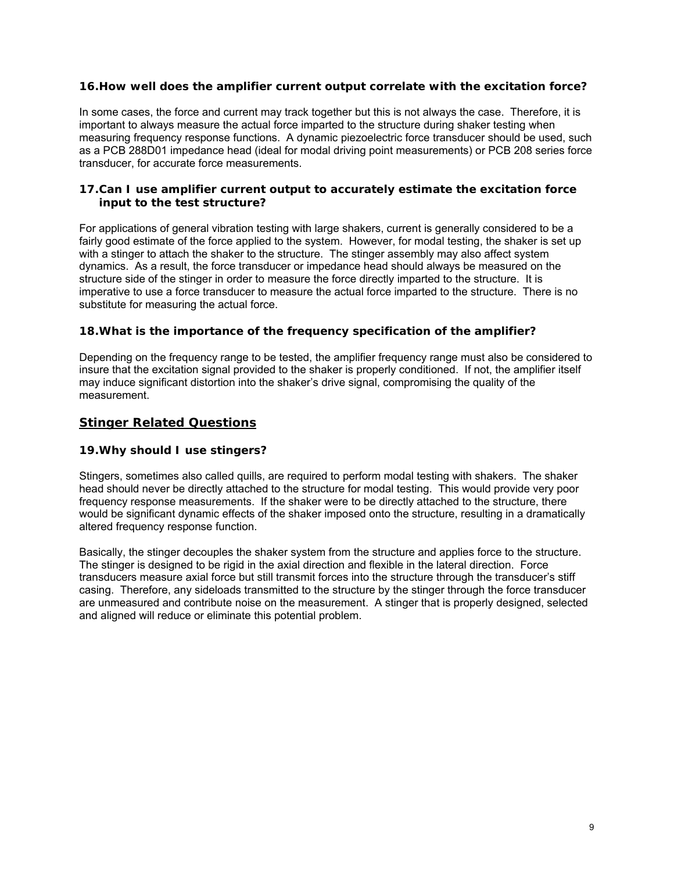## **16.How well does the amplifier current output correlate with the excitation force?**

In some cases, the force and current may track together but this is not always the case. Therefore, it is important to always measure the actual force imparted to the structure during shaker testing when measuring frequency response functions. A dynamic piezoelectric force transducer should be used, such as a PCB 288D01 impedance head (ideal for modal driving point measurements) or PCB 208 series force transducer, for accurate force measurements.

#### **17.Can I use amplifier current output to accurately estimate the excitation force input to the test structure?**

For applications of general vibration testing with large shakers, current is generally considered to be a fairly good estimate of the force applied to the system. However, for modal testing, the shaker is set up with a stinger to attach the shaker to the structure. The stinger assembly may also affect system dynamics. As a result, the force transducer or impedance head should always be measured on the structure side of the stinger in order to measure the force directly imparted to the structure. It is imperative to use a force transducer to measure the actual force imparted to the structure. There is no substitute for measuring the actual force.

## **18.What is the importance of the frequency specification of the amplifier?**

Depending on the frequency range to be tested, the amplifier frequency range must also be considered to insure that the excitation signal provided to the shaker is properly conditioned. If not, the amplifier itself may induce significant distortion into the shaker's drive signal, compromising the quality of the measurement.

# **Stinger Related Questions**

## **19.Why should I use stingers?**

Stingers, sometimes also called quills, are required to perform modal testing with shakers. The shaker head should never be directly attached to the structure for modal testing. This would provide very poor frequency response measurements. If the shaker were to be directly attached to the structure, there would be significant dynamic effects of the shaker imposed onto the structure, resulting in a dramatically altered frequency response function.

Basically, the stinger decouples the shaker system from the structure and applies force to the structure. The stinger is designed to be rigid in the axial direction and flexible in the lateral direction. Force transducers measure axial force but still transmit forces into the structure through the transducer's stiff casing. Therefore, any sideloads transmitted to the structure by the stinger through the force transducer are unmeasured and contribute noise on the measurement. A stinger that is properly designed, selected and aligned will reduce or eliminate this potential problem.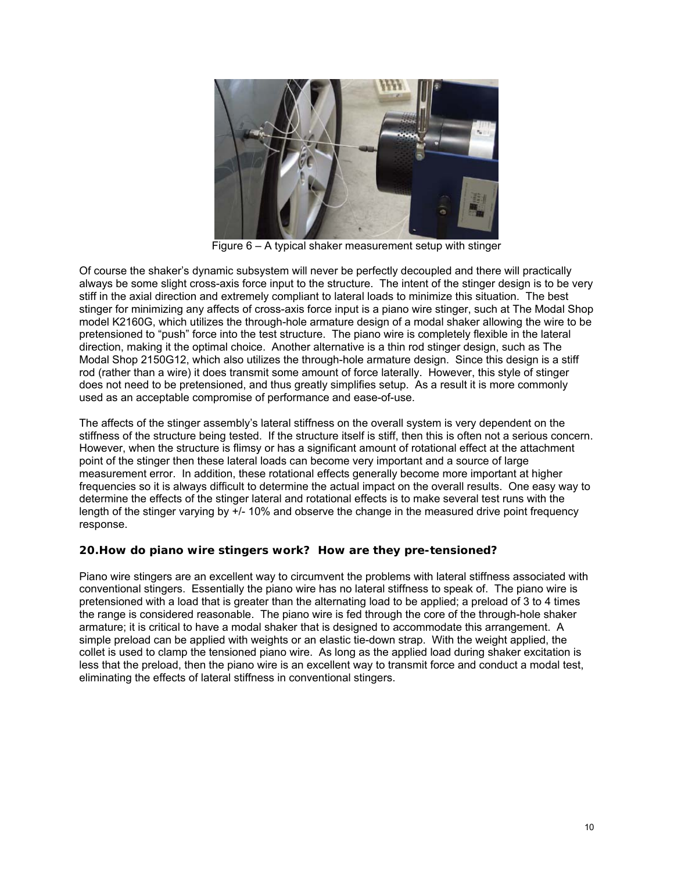

Figure 6 – A typical shaker measurement setup with stinger

Of course the shaker's dynamic subsystem will never be perfectly decoupled and there will practically always be some slight cross-axis force input to the structure. The intent of the stinger design is to be very stiff in the axial direction and extremely compliant to lateral loads to minimize this situation. The best stinger for minimizing any affects of cross-axis force input is a piano wire stinger, such at The Modal Shop model K2160G, which utilizes the through-hole armature design of a modal shaker allowing the wire to be pretensioned to "push" force into the test structure. The piano wire is completely flexible in the lateral direction, making it the optimal choice. Another alternative is a thin rod stinger design, such as The Modal Shop 2150G12, which also utilizes the through-hole armature design. Since this design is a stiff rod (rather than a wire) it does transmit some amount of force laterally. However, this style of stinger does not need to be pretensioned, and thus greatly simplifies setup. As a result it is more commonly used as an acceptable compromise of performance and ease-of-use.

The affects of the stinger assembly's lateral stiffness on the overall system is very dependent on the stiffness of the structure being tested. If the structure itself is stiff, then this is often not a serious concern. However, when the structure is flimsy or has a significant amount of rotational effect at the attachment point of the stinger then these lateral loads can become very important and a source of large measurement error. In addition, these rotational effects generally become more important at higher frequencies so it is always difficult to determine the actual impact on the overall results. One easy way to determine the effects of the stinger lateral and rotational effects is to make several test runs with the length of the stinger varying by +/- 10% and observe the change in the measured drive point frequency response.

## **20.How do piano wire stingers work? How are they pre-tensioned?**

Piano wire stingers are an excellent way to circumvent the problems with lateral stiffness associated with conventional stingers. Essentially the piano wire has no lateral stiffness to speak of. The piano wire is pretensioned with a load that is greater than the alternating load to be applied; a preload of 3 to 4 times the range is considered reasonable. The piano wire is fed through the core of the through-hole shaker armature; it is critical to have a modal shaker that is designed to accommodate this arrangement. A simple preload can be applied with weights or an elastic tie-down strap. With the weight applied, the collet is used to clamp the tensioned piano wire. As long as the applied load during shaker excitation is less that the preload, then the piano wire is an excellent way to transmit force and conduct a modal test, eliminating the effects of lateral stiffness in conventional stingers.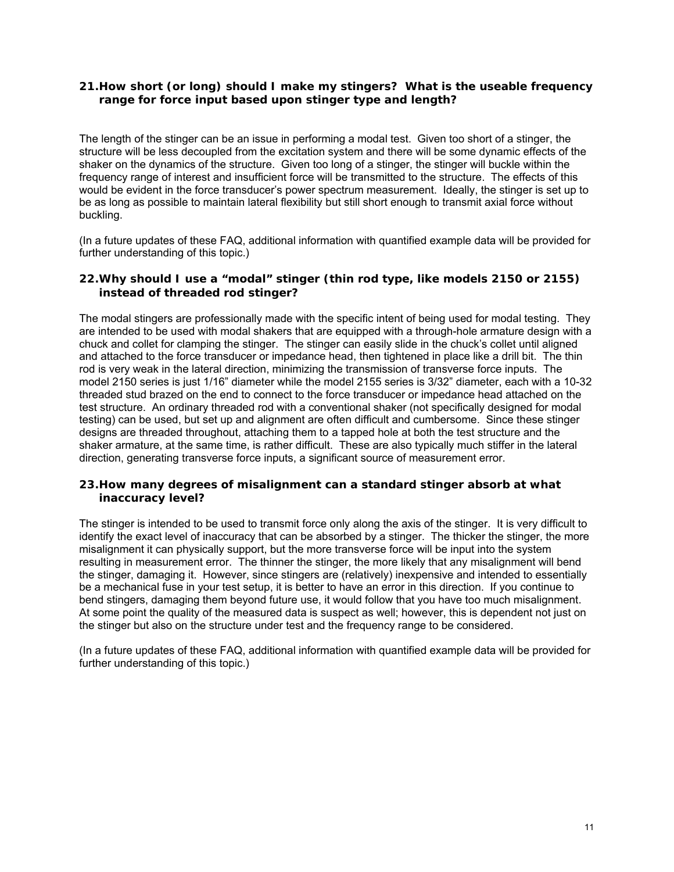## **21.How short (or long) should I make my stingers? What is the useable frequency range for force input based upon stinger type and length?**

The length of the stinger can be an issue in performing a modal test. Given too short of a stinger, the structure will be less decoupled from the excitation system and there will be some dynamic effects of the shaker on the dynamics of the structure. Given too long of a stinger, the stinger will buckle within the frequency range of interest and insufficient force will be transmitted to the structure. The effects of this would be evident in the force transducer's power spectrum measurement. Ideally, the stinger is set up to be as long as possible to maintain lateral flexibility but still short enough to transmit axial force without buckling.

(In a future updates of these FAQ, additional information with quantified example data will be provided for further understanding of this topic.)

#### **22.Why should I use a "modal" stinger (thin rod type, like models 2150 or 2155) instead of threaded rod stinger?**

The modal stingers are professionally made with the specific intent of being used for modal testing. They are intended to be used with modal shakers that are equipped with a through-hole armature design with a chuck and collet for clamping the stinger. The stinger can easily slide in the chuck's collet until aligned and attached to the force transducer or impedance head, then tightened in place like a drill bit. The thin rod is very weak in the lateral direction, minimizing the transmission of transverse force inputs. The model 2150 series is just 1/16" diameter while the model 2155 series is 3/32" diameter, each with a 10-32 threaded stud brazed on the end to connect to the force transducer or impedance head attached on the test structure. An ordinary threaded rod with a conventional shaker (not specifically designed for modal testing) can be used, but set up and alignment are often difficult and cumbersome. Since these stinger designs are threaded throughout, attaching them to a tapped hole at both the test structure and the shaker armature, at the same time, is rather difficult. These are also typically much stiffer in the lateral direction, generating transverse force inputs, a significant source of measurement error.

#### **23.How many degrees of misalignment can a standard stinger absorb at what inaccuracy level?**

The stinger is intended to be used to transmit force only along the axis of the stinger. It is very difficult to identify the exact level of inaccuracy that can be absorbed by a stinger. The thicker the stinger, the more misalignment it can physically support, but the more transverse force will be input into the system resulting in measurement error. The thinner the stinger, the more likely that any misalignment will bend the stinger, damaging it. However, since stingers are (relatively) inexpensive and intended to essentially be a mechanical fuse in your test setup, it is better to have an error in this direction. If you continue to bend stingers, damaging them beyond future use, it would follow that you have too much misalignment. At some point the quality of the measured data is suspect as well; however, this is dependent not just on the stinger but also on the structure under test and the frequency range to be considered.

(In a future updates of these FAQ, additional information with quantified example data will be provided for further understanding of this topic.)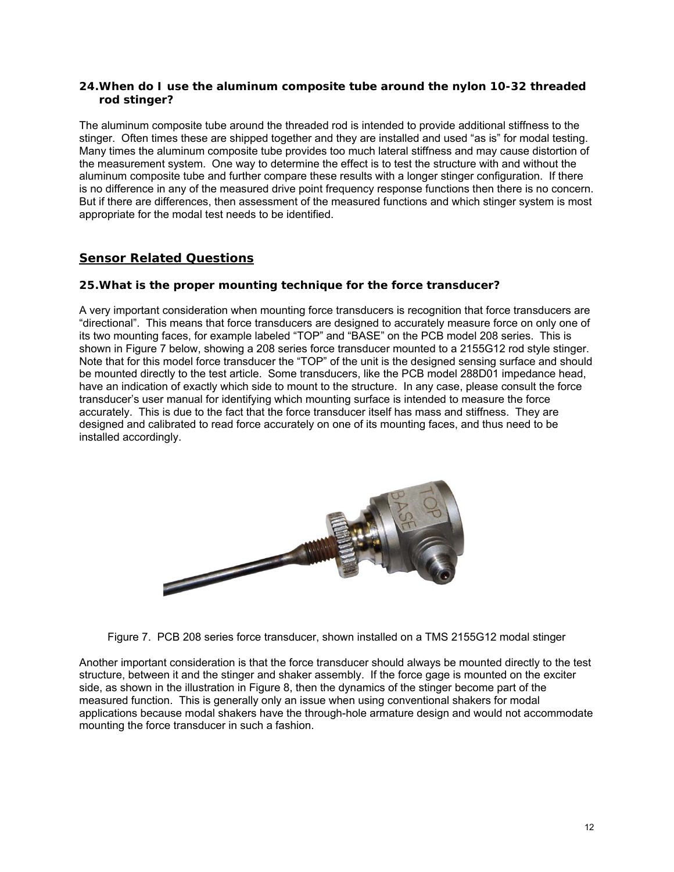## **24.When do I use the aluminum composite tube around the nylon 10-32 threaded rod stinger?**

The aluminum composite tube around the threaded rod is intended to provide additional stiffness to the stinger. Often times these are shipped together and they are installed and used "as is" for modal testing. Many times the aluminum composite tube provides too much lateral stiffness and may cause distortion of the measurement system. One way to determine the effect is to test the structure with and without the aluminum composite tube and further compare these results with a longer stinger configuration. If there is no difference in any of the measured drive point frequency response functions then there is no concern. But if there are differences, then assessment of the measured functions and which stinger system is most appropriate for the modal test needs to be identified.

# **Sensor Related Questions**

#### **25.What is the proper mounting technique for the force transducer?**

A very important consideration when mounting force transducers is recognition that force transducers are "directional". This means that force transducers are designed to accurately measure force on only one of its two mounting faces, for example labeled "TOP" and "BASE" on the PCB model 208 series. This is shown in Figure 7 below, showing a 208 series force transducer mounted to a 2155G12 rod style stinger. Note that for this model force transducer the "TOP" of the unit is the designed sensing surface and should be mounted directly to the test article. Some transducers, like the PCB model 288D01 impedance head, have an indication of exactly which side to mount to the structure. In any case, please consult the force transducer's user manual for identifying which mounting surface is intended to measure the force accurately. This is due to the fact that the force transducer itself has mass and stiffness. They are designed and calibrated to read force accurately on one of its mounting faces, and thus need to be installed accordingly.



Figure 7. PCB 208 series force transducer, shown installed on a TMS 2155G12 modal stinger

Another important consideration is that the force transducer should always be mounted directly to the test structure, between it and the stinger and shaker assembly. If the force gage is mounted on the exciter side, as shown in the illustration in Figure 8, then the dynamics of the stinger become part of the measured function. This is generally only an issue when using conventional shakers for modal applications because modal shakers have the through-hole armature design and would not accommodate mounting the force transducer in such a fashion.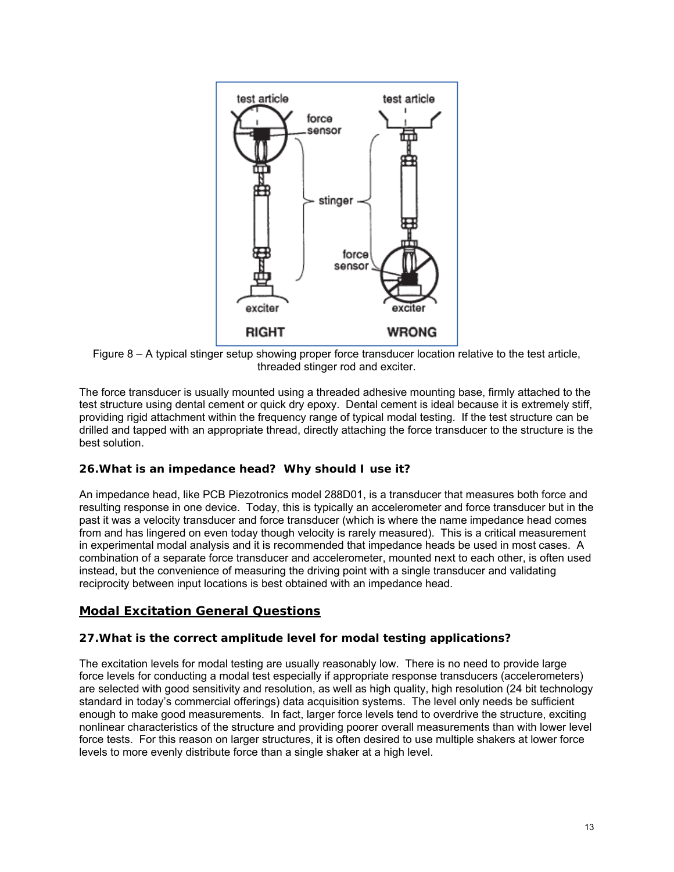

Figure 8 – A typical stinger setup showing proper force transducer location relative to the test article, threaded stinger rod and exciter.

The force transducer is usually mounted using a threaded adhesive mounting base, firmly attached to the test structure using dental cement or quick dry epoxy. Dental cement is ideal because it is extremely stiff, providing rigid attachment within the frequency range of typical modal testing. If the test structure can be drilled and tapped with an appropriate thread, directly attaching the force transducer to the structure is the best solution.

# **26.What is an impedance head? Why should I use it?**

An impedance head, like PCB Piezotronics model 288D01, is a transducer that measures both force and resulting response in one device. Today, this is typically an accelerometer and force transducer but in the past it was a velocity transducer and force transducer (which is where the name impedance head comes from and has lingered on even today though velocity is rarely measured). This is a critical measurement in experimental modal analysis and it is recommended that impedance heads be used in most cases. A combination of a separate force transducer and accelerometer, mounted next to each other, is often used instead, but the convenience of measuring the driving point with a single transducer and validating reciprocity between input locations is best obtained with an impedance head.

# **Modal Excitation General Questions**

## **27.What is the correct amplitude level for modal testing applications?**

The excitation levels for modal testing are usually reasonably low. There is no need to provide large force levels for conducting a modal test especially if appropriate response transducers (accelerometers) are selected with good sensitivity and resolution, as well as high quality, high resolution (24 bit technology standard in today's commercial offerings) data acquisition systems. The level only needs be sufficient enough to make good measurements. In fact, larger force levels tend to overdrive the structure, exciting nonlinear characteristics of the structure and providing poorer overall measurements than with lower level force tests. For this reason on larger structures, it is often desired to use multiple shakers at lower force levels to more evenly distribute force than a single shaker at a high level.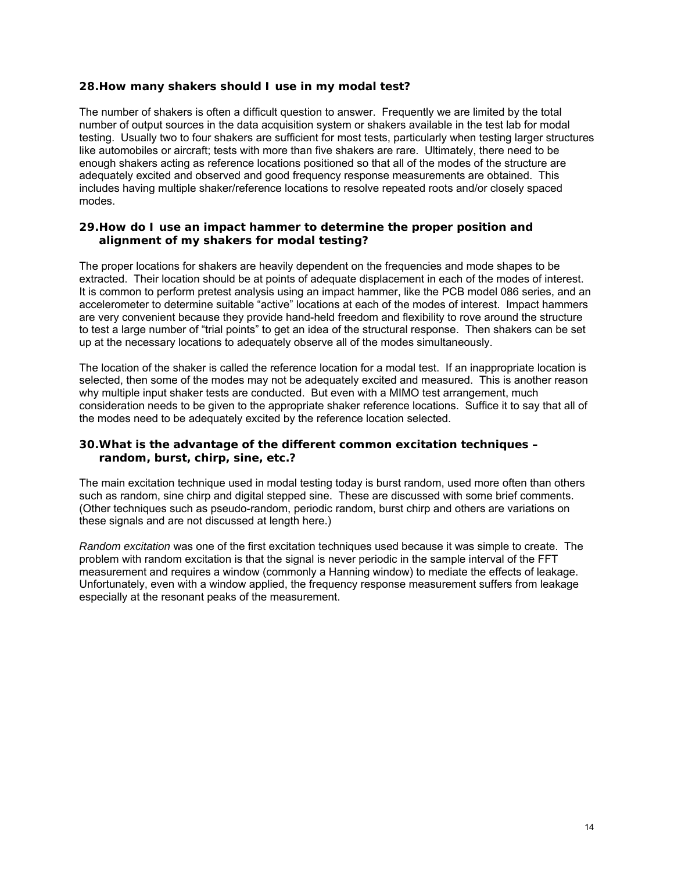## **28.How many shakers should I use in my modal test?**

The number of shakers is often a difficult question to answer. Frequently we are limited by the total number of output sources in the data acquisition system or shakers available in the test lab for modal testing. Usually two to four shakers are sufficient for most tests, particularly when testing larger structures like automobiles or aircraft; tests with more than five shakers are rare. Ultimately, there need to be enough shakers acting as reference locations positioned so that all of the modes of the structure are adequately excited and observed and good frequency response measurements are obtained. This includes having multiple shaker/reference locations to resolve repeated roots and/or closely spaced modes.

#### **29.How do I use an impact hammer to determine the proper position and alignment of my shakers for modal testing?**

The proper locations for shakers are heavily dependent on the frequencies and mode shapes to be extracted. Their location should be at points of adequate displacement in each of the modes of interest. It is common to perform pretest analysis using an impact hammer, like the PCB model 086 series, and an accelerometer to determine suitable "active" locations at each of the modes of interest. Impact hammers are very convenient because they provide hand-held freedom and flexibility to rove around the structure to test a large number of "trial points" to get an idea of the structural response. Then shakers can be set up at the necessary locations to adequately observe all of the modes simultaneously.

The location of the shaker is called the reference location for a modal test. If an inappropriate location is selected, then some of the modes may not be adequately excited and measured. This is another reason why multiple input shaker tests are conducted. But even with a MIMO test arrangement, much consideration needs to be given to the appropriate shaker reference locations. Suffice it to say that all of the modes need to be adequately excited by the reference location selected.

#### **30.What is the advantage of the different common excitation techniques – random, burst, chirp, sine, etc.?**

The main excitation technique used in modal testing today is burst random, used more often than others such as random, sine chirp and digital stepped sine. These are discussed with some brief comments. (Other techniques such as pseudo-random, periodic random, burst chirp and others are variations on these signals and are not discussed at length here.)

*Random excitation* was one of the first excitation techniques used because it was simple to create. The problem with random excitation is that the signal is never periodic in the sample interval of the FFT measurement and requires a window (commonly a Hanning window) to mediate the effects of leakage. Unfortunately, even with a window applied, the frequency response measurement suffers from leakage especially at the resonant peaks of the measurement.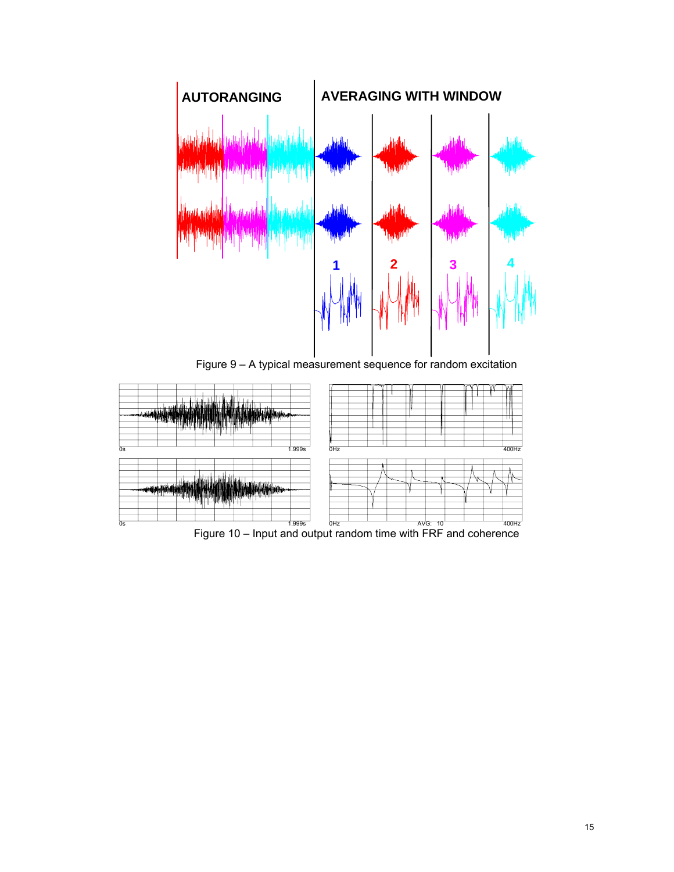

Figure 9 – A typical measurement sequence for random excitation



 $\frac{1}{\cos}$  and the state of  $\frac{1}{\sin \theta}$   $\frac{1}{\sin \theta}$   $\frac{1}{\sin \theta}$   $\frac{1}{\sin \theta}$  and  $\frac{1}{\cos \theta}$  and  $\frac{1}{\cos \theta}$   $\frac{1}{\cos \theta}$   $\frac{1}{\cos \theta}$   $\frac{1}{\cos \theta}$   $\frac{1}{\cos \theta}$   $\frac{1}{\cos \theta}$   $\frac{1}{\cos \theta}$   $\frac{1}{\cos \theta}$   $\frac{1}{\cos \theta}$   $\frac$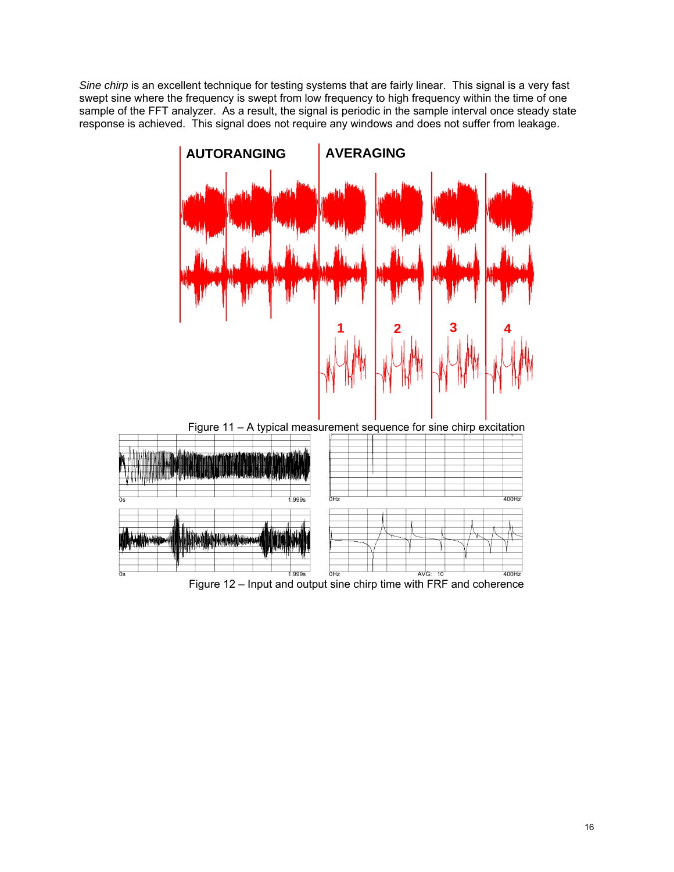*Sine chirp* is an excellent technique for testing systems that are fairly linear. This signal is a very fast swept sine where the frequency is swept from low frequency to high frequency within the time of one sample of the FFT analyzer. As a result, the signal is periodic in the sample interval once steady state response is achieved. This signal does not require any windows and does not suffer from leakage.

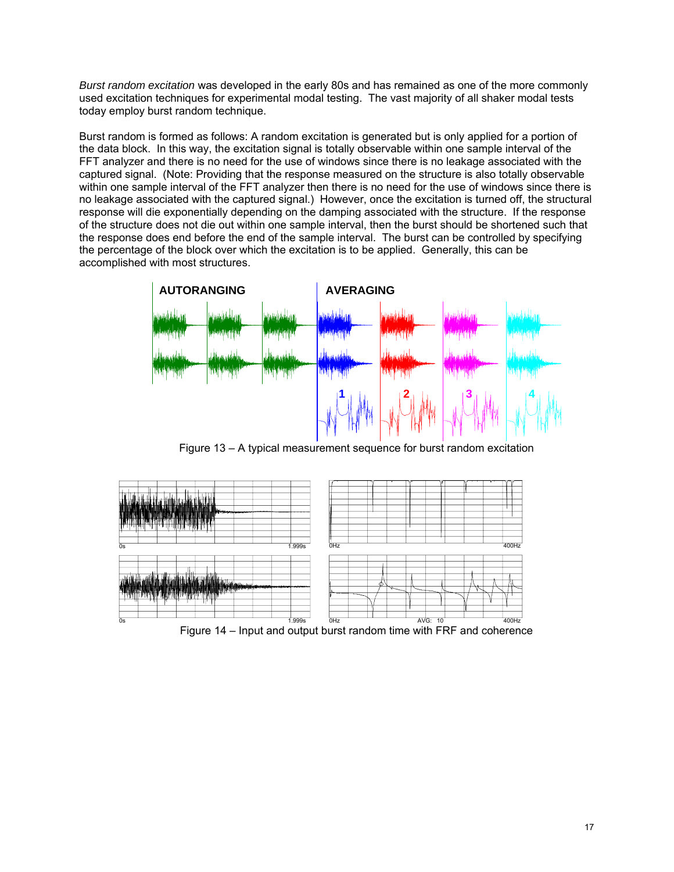*Burst random excitation* was developed in the early 80s and has remained as one of the more commonly used excitation techniques for experimental modal testing. The vast majority of all shaker modal tests today employ burst random technique.

Burst random is formed as follows: A random excitation is generated but is only applied for a portion of the data block. In this way, the excitation signal is totally observable within one sample interval of the FFT analyzer and there is no need for the use of windows since there is no leakage associated with the captured signal. (Note: Providing that the response measured on the structure is also totally observable within one sample interval of the FFT analyzer then there is no need for the use of windows since there is no leakage associated with the captured signal.) However, once the excitation is turned off, the structural response will die exponentially depending on the damping associated with the structure. If the response of the structure does not die out within one sample interval, then the burst should be shortened such that the response does end before the end of the sample interval. The burst can be controlled by specifying the percentage of the block over which the excitation is to be applied. Generally, this can be accomplished with most structures.



Figure 13 – A typical measurement sequence for burst random excitation



Figure 14 – Input and output burst random time with FRF and coherence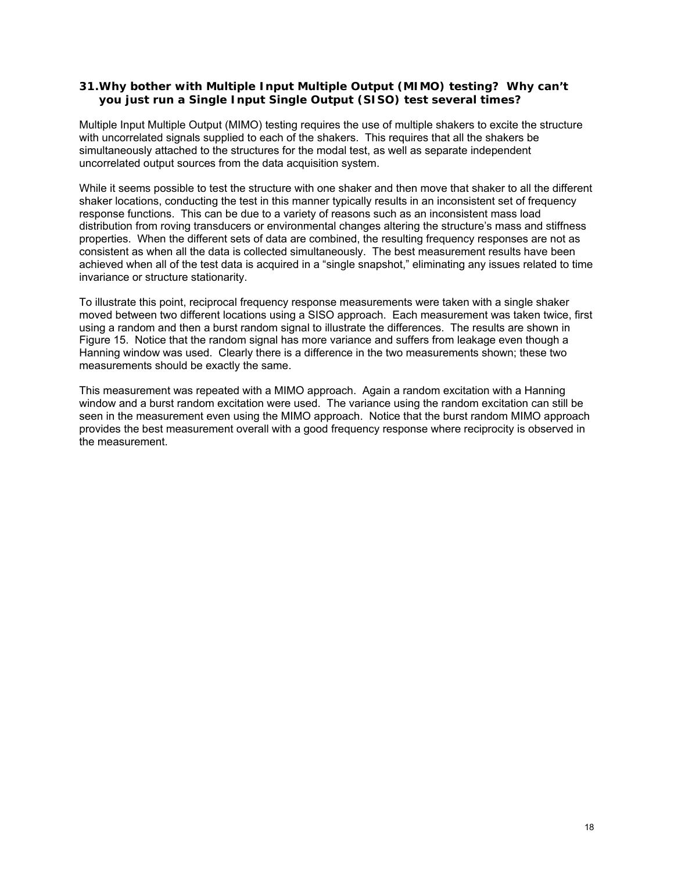## **31.Why bother with Multiple Input Multiple Output (MIMO) testing? Why can't you just run a Single Input Single Output (SISO) test several times?**

Multiple Input Multiple Output (MIMO) testing requires the use of multiple shakers to excite the structure with uncorrelated signals supplied to each of the shakers. This requires that all the shakers be simultaneously attached to the structures for the modal test, as well as separate independent uncorrelated output sources from the data acquisition system.

While it seems possible to test the structure with one shaker and then move that shaker to all the different shaker locations, conducting the test in this manner typically results in an inconsistent set of frequency response functions. This can be due to a variety of reasons such as an inconsistent mass load distribution from roving transducers or environmental changes altering the structure's mass and stiffness properties. When the different sets of data are combined, the resulting frequency responses are not as consistent as when all the data is collected simultaneously. The best measurement results have been achieved when all of the test data is acquired in a "single snapshot," eliminating any issues related to time invariance or structure stationarity.

To illustrate this point, reciprocal frequency response measurements were taken with a single shaker moved between two different locations using a SISO approach. Each measurement was taken twice, first using a random and then a burst random signal to illustrate the differences. The results are shown in Figure 15. Notice that the random signal has more variance and suffers from leakage even though a Hanning window was used. Clearly there is a difference in the two measurements shown; these two measurements should be exactly the same.

This measurement was repeated with a MIMO approach. Again a random excitation with a Hanning window and a burst random excitation were used. The variance using the random excitation can still be seen in the measurement even using the MIMO approach. Notice that the burst random MIMO approach provides the best measurement overall with a good frequency response where reciprocity is observed in the measurement.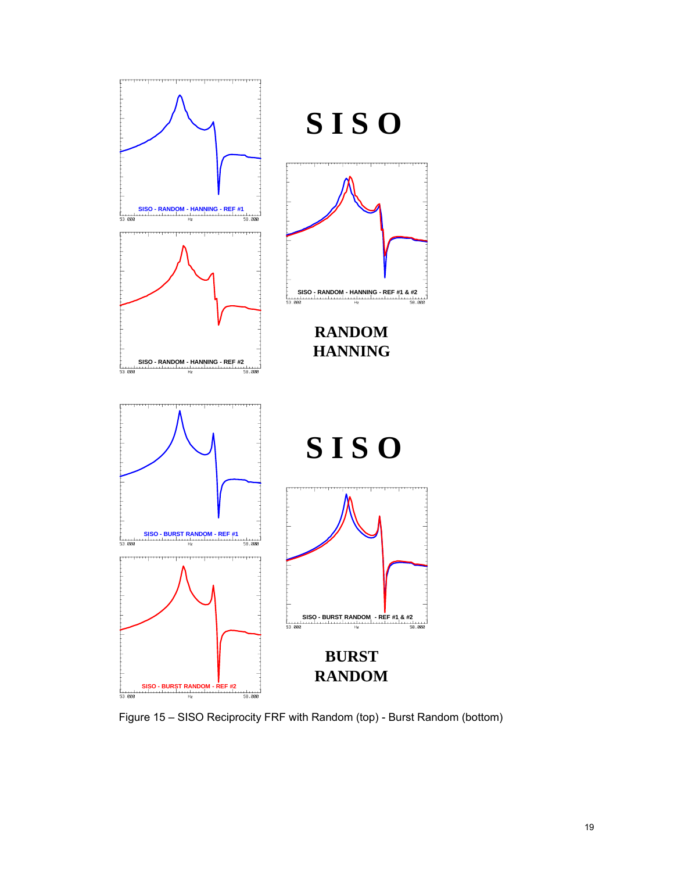

Figure 15 – SISO Reciprocity FRF with Random (top) - Burst Random (bottom)